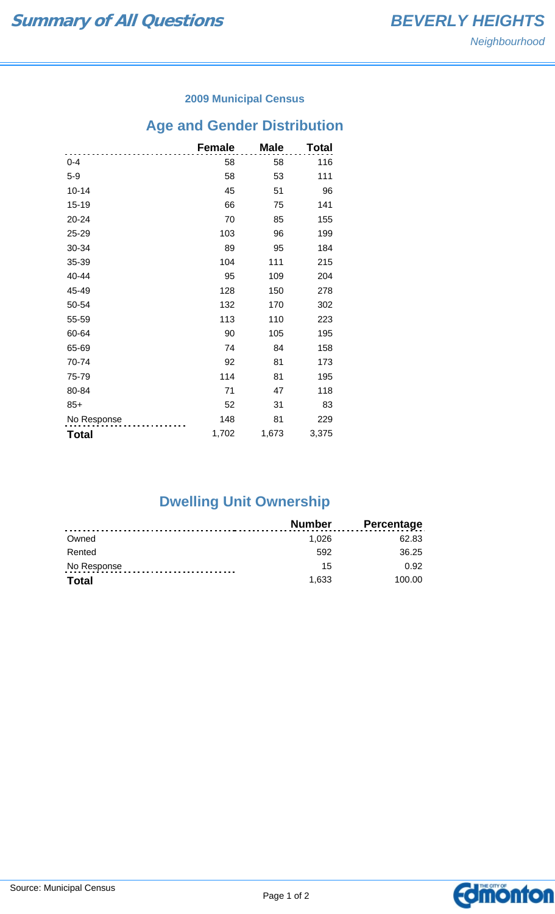### **2009 Municipal Census**

# **Age and Gender Distribution**

|              | <b>Female</b> | <b>Male</b> | Total |
|--------------|---------------|-------------|-------|
| $0 - 4$      | 58            | 58          | 116   |
| $5-9$        | 58            | 53          | 111   |
| $10 - 14$    | 45            | 51          | 96    |
| 15-19        | 66            | 75          | 141   |
| 20-24        | 70            | 85          | 155   |
| 25-29        | 103           | 96          | 199   |
| 30-34        | 89            | 95          | 184   |
| 35-39        | 104           | 111         | 215   |
| 40-44        | 95            | 109         | 204   |
| 45-49        | 128           | 150         | 278   |
| 50-54        | 132           | 170         | 302   |
| 55-59        | 113           | 110         | 223   |
| 60-64        | 90            | 105         | 195   |
| 65-69        | 74            | 84          | 158   |
| 70-74        | 92            | 81          | 173   |
| 75-79        | 114           | 81          | 195   |
| 80-84        | 71            | 47          | 118   |
| $85+$        | 52            | 31          | 83    |
| No Response  | 148           | 81          | 229   |
| <b>Total</b> | 1,702         | 1,673       | 3,375 |

## **Dwelling Unit Ownership**

|              | <b>Number</b> | <b>Percentage</b> |
|--------------|---------------|-------------------|
| Owned        | 1.026         | 62.83             |
| Rented       | 592           | 36.25             |
| No Response  | 15            | 0.92              |
| <b>Total</b> | 1.633         | 100.00            |